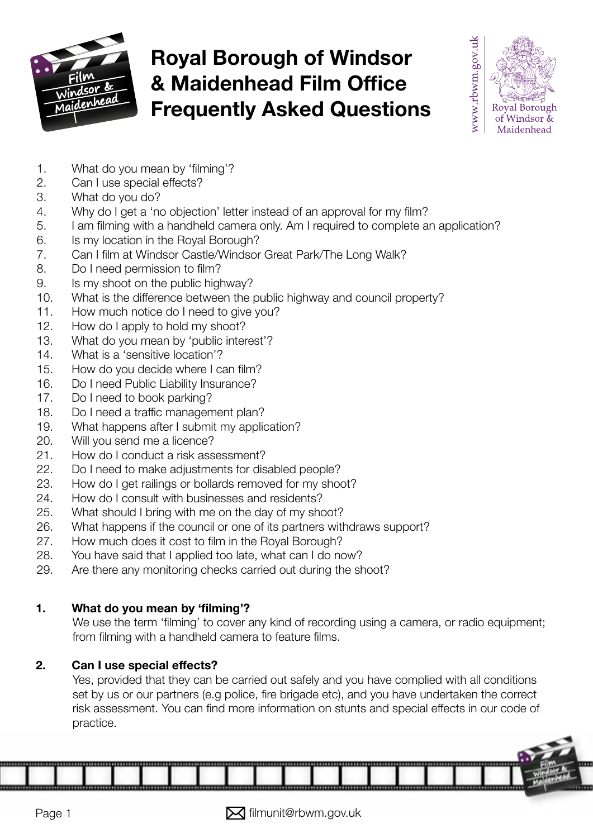

# Royal Borough of Windsor & Maidenhead Film Office Frequently Asked Questions



- 1. What do you mean by 'flming'?
- 2. Can I use special effects?
- [3. What do you do?](#page-1-0)
- [4. Why do I get a 'no objection' letter instead of an approval for my flm?](#page-1-0)
- [5. I am flming with a handheld camera only. Am I required to complete an application?](#page-1-0)
- [6. Is my location in the Royal Borough?](#page-1-0)
- [7. Can I flm at Windsor Castle/Windsor Great Park/The Long Walk?](#page-1-0)
- 8. Do I need permission to film?
- [9. Is my shoot on the public highway?](#page-1-0)
- [10. What is the difference between the public highway and council property?](#page-1-0)
- [11. How much notice do I need to give you?](#page-2-0)
- [12. How do I apply to hold my shoot?](#page-2-0)
- [13. What do you mean by 'public interest'?](#page-2-0)
- [14. What is a 'sensitive location'?](#page-2-0)
- 15. How do you decide where I can film?
- 16. Do I need Public Liability Insurance?
- [17. Do I need to book parking?](#page-2-0)
- 18. Do I need a traffic management plan?
- [19. What happens after I submit my application?](#page-3-0)
- [20. Will you send me a licence?](#page-3-0)
- [21. How do I conduct a risk assessment?](#page-3-0)
- [22. Do I need to make adjustments for disabled people?](#page-3-0)
- [23. How do I get railings or bollards removed for my shoot?](#page-4-0)
- [24. How do I consult with businesses and residents?](#page-4-0)
- [25. What should I bring with me on the day of my shoot?](#page-4-0)
- [26. What happens if the council or one of its partners withdraws support?](#page-4-0)
- [27. How much does it cost to flm in the Royal Borough?](#page-4-0)
- [28. You have said that I applied too late, what can I do now?](#page-4-0)
- [29. Are there any monitoring checks carried out during the shoot?](#page-4-0)

# 1. What do you mean by 'filming'?

We use the term 'flming' to cover any kind of recording using a camera, or radio equipment; from filming with a handheld camera to feature films.

# 2. Can I use special effects?

Yes, provided that they can be carried out safely and you have complied with all conditions set by us or our partners (e.g police, fire brigade etc), and you have undertaken the correct risk assessment. You can find more information on stunts and special effects in our code of practice.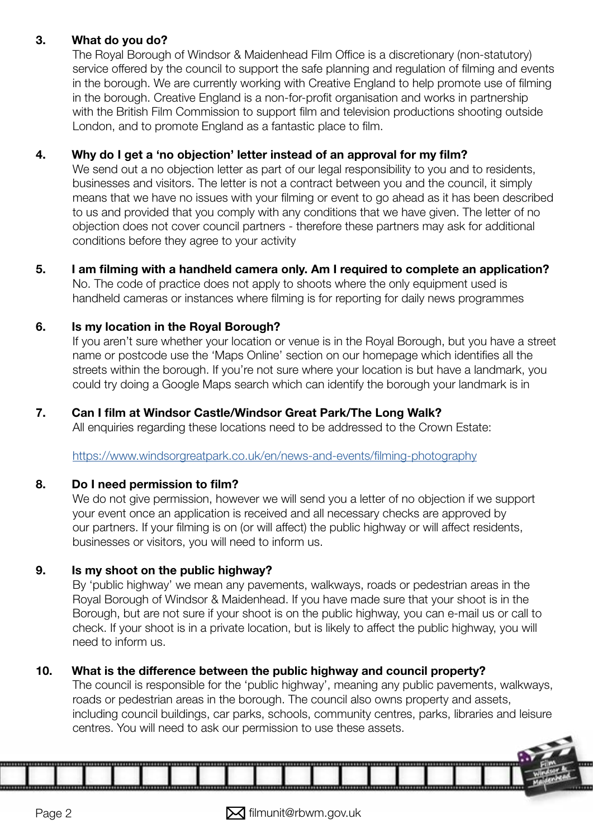#### <span id="page-1-0"></span>3. What do you do?

The Royal Borough of Windsor & Maidenhead Film Office is a discretionary (non-statutory) service offered by the council to support the safe planning and regulation of filming and events in the borough. We are currently working with Creative England to help promote use of flming in the borough. Creative England is a non-for-proft organisation and works in partnership with the British Film Commission to support flm and television productions shooting outside London, and to promote England as a fantastic place to flm.

#### 4. Why do I get a 'no objection' letter instead of an approval for my film?

We send out a no objection letter as part of our legal responsibility to you and to residents, businesses and visitors. The letter is not a contract between you and the council, it simply means that we have no issues with your flming or event to go ahead as it has been described to us and provided that you comply with any conditions that we have given. The letter of no objection does not cover council partners - therefore these partners may ask for additional conditions before they agree to your activity

5. I am filming with a handheld camera only. Am I required to complete an application? No. The code of practice does not apply to shoots where the only equipment used is handheld cameras or instances where flming is for reporting for daily news programmes

#### 6. Is my location in the Royal Borough?

If you aren't sure whether your location or venue is in the Royal Borough, but you have a street name or postcode use the 'Maps Online' section on our homepage which identifes all the streets within the borough. If you're not sure where your location is but have a landmark, you could try doing a Google Maps search which can identify the borough your landmark is in

#### 7. Can I flm at Windsor Castle/Windsor Great Park/The Long Walk?

All enquiries regarding these locations need to be addressed to the Crown Estate:

[https://www.windsorgreatpark.co.uk/en/news-and-events/flming-photography](https://www.windsorgreatpark.co.uk/en/news-and-events/filming-photography ) 

#### 8. Do I need permission to film?

We do not give permission, however we will send you a letter of no objection if we support your event once an application is received and all necessary checks are approved by our partners. If your flming is on (or will affect) the public highway or will affect residents, businesses or visitors, you will need to inform us.

#### 9. Is my shoot on the public highway?

By 'public highway' we mean any pavements, walkways, roads or pedestrian areas in the Royal Borough of Windsor & Maidenhead. If you have made sure that your shoot is in the Borough, but are not sure if your shoot is on the public highway, you can e-mail us or call to check. If your shoot is in a private location, but is likely to affect the public highway, you will need to inform us.

#### 10. What is the difference between the public highway and council property?

The council is responsible for the 'public highway', meaning any public pavements, walkways, roads or pedestrian areas in the borough. The council also owns property and assets, including council buildings, car parks, schools, community centres, parks, libraries and leisure centres. You will need to ask our permission to use these assets.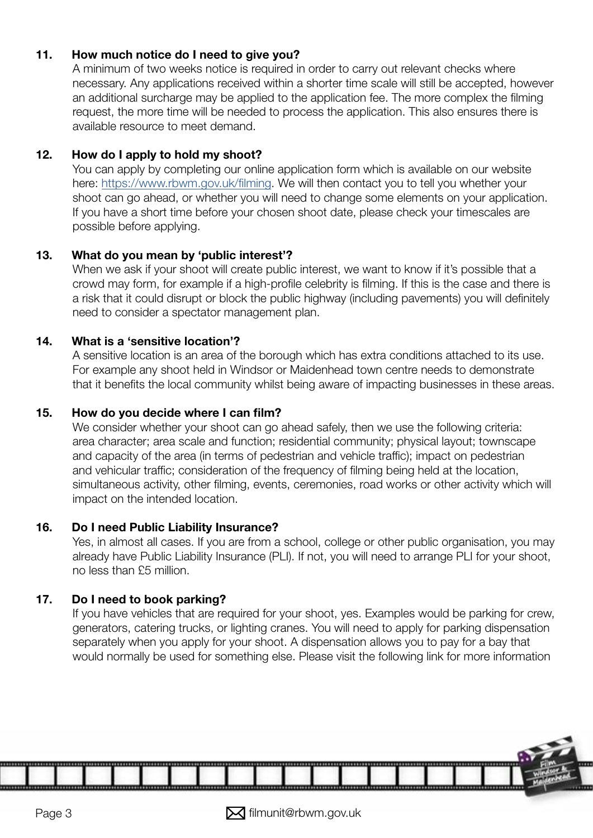#### <span id="page-2-0"></span>11. How much notice do I need to give you?

A minimum of two weeks notice is required in order to carry out relevant checks where necessary. Any applications received within a shorter time scale will still be accepted, however an additional surcharge may be applied to the application fee. The more complex the flming request, the more time will be needed to process the application. This also ensures there is available resource to meet demand.

#### 12. How do I apply to hold my shoot?

You can apply by completing our online application form which is available on our website here: https://www.rbwm.gov.uk/filming. We will then contact you to tell you whether your shoot can go ahead, or whether you will need to change some elements on your application. If you have a short time before your chosen shoot date, please check your timescales are possible before applying.

#### 13. What do you mean by 'public interest'?

When we ask if your shoot will create public interest, we want to know if it's possible that a crowd may form, for example if a high-profle celebrity is flming. If this is the case and there is a risk that it could disrupt or block the public highway (including pavements) you will defnitely need to consider a spectator management plan.

#### 14. What is a 'sensitive location'?

A sensitive location is an area of the borough which has extra conditions attached to its use. For example any shoot held in Windsor or Maidenhead town centre needs to demonstrate that it benefts the local community whilst being aware of impacting businesses in these areas.

#### 15. How do you decide where I can film?

We consider whether your shoot can go ahead safely, then we use the following criteria: area character; area scale and function; residential community; physical layout; townscape and capacity of the area (in terms of pedestrian and vehicle traffic); impact on pedestrian and vehicular traffic; consideration of the frequency of filming being held at the location, simultaneous activity, other filming, events, ceremonies, road works or other activity which will impact on the intended location.

#### 16. Do I need Public Liability Insurance?

Yes, in almost all cases. If you are from a school, college or other public organisation, you may already have Public Liability Insurance (PLI). If not, you will need to arrange PLI for your shoot, no less than £5 million.

#### 17. Do I need to book parking?

If you have vehicles that are required for your shoot, yes. Examples would be parking for crew, generators, catering trucks, or lighting cranes. You will need to apply for parking dispensation separately when you apply for your shoot. A dispensation allows you to pay for a bay that would normally be used for something else. Please visit the following link for more information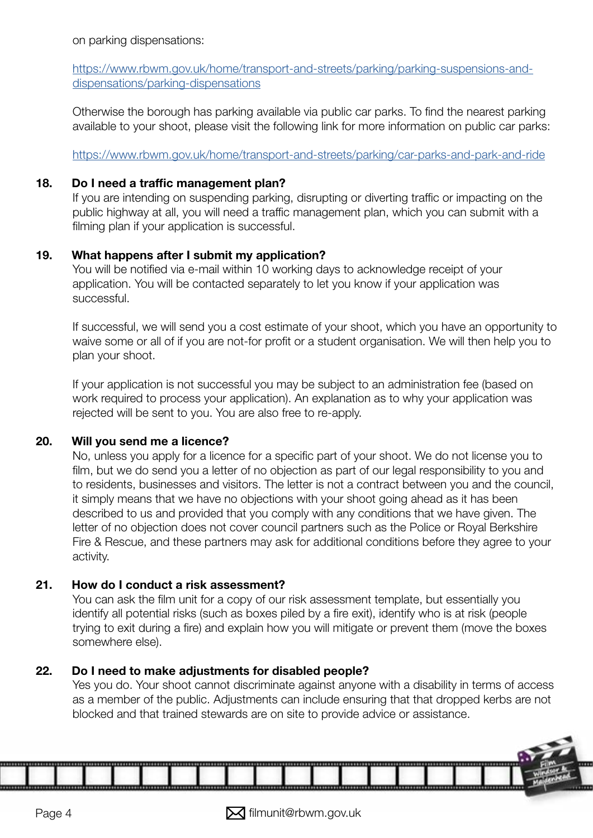<span id="page-3-0"></span>on parking dispensations:

[https://www.rbwm.gov.uk/home/transport-and-streets/parking/parking-suspensions-and](https://www.rbwm.gov.uk/home/transport-and-streets/parking/parking-suspensions-and-dispensations/parking-dispensations)[dispensations/parking-dispensations](https://www.rbwm.gov.uk/home/transport-and-streets/parking/parking-suspensions-and-dispensations/parking-dispensations)

Otherwise the borough has parking available via public car parks. To find the nearest parking available to your shoot, please visit the following link for more information on public car parks:

<https://www.rbwm.gov.uk/home/transport-and-streets/parking/car-parks-and-park-and-ride>

#### 18. Do I need a traffic management plan?

If you are intending on suspending parking, disrupting or diverting traffic or impacting on the public highway at all, you will need a traffic management plan, which you can submit with a flming plan if your application is successful.

#### 19. What happens after I submit my application?

You will be notifed via e-mail within 10 working days to acknowledge receipt of your application. You will be contacted separately to let you know if your application was successful.

If successful, we will send you a cost estimate of your shoot, which you have an opportunity to waive some or all of if you are not-for proft or a student organisation. We will then help you to plan your shoot.

If your application is not successful you may be subject to an administration fee (based on work required to process your application). An explanation as to why your application was rejected will be sent to you. You are also free to re-apply.

#### 20. Will you send me a licence?

No, unless you apply for a licence for a specific part of your shoot. We do not license you to film, but we do send you a letter of no objection as part of our legal responsibility to you and to residents, businesses and visitors. The letter is not a contract between you and the council, it simply means that we have no objections with your shoot going ahead as it has been described to us and provided that you comply with any conditions that we have given. The letter of no objection does not cover council partners such as the Police or Royal Berkshire Fire & Rescue, and these partners may ask for additional conditions before they agree to your activity.

#### 21. How do I conduct a risk assessment?

You can ask the flm unit for a copy of our risk assessment template, but essentially you identify all potential risks (such as boxes piled by a fire exit), identify who is at risk (people trying to exit during a fre) and explain how you will mitigate or prevent them (move the boxes somewhere else).

#### 22. Do I need to make adjustments for disabled people?

Yes you do. Your shoot cannot discriminate against anyone with a disability in terms of access as a member of the public. Adjustments can include ensuring that that dropped kerbs are not blocked and that trained stewards are on site to provide advice or assistance.